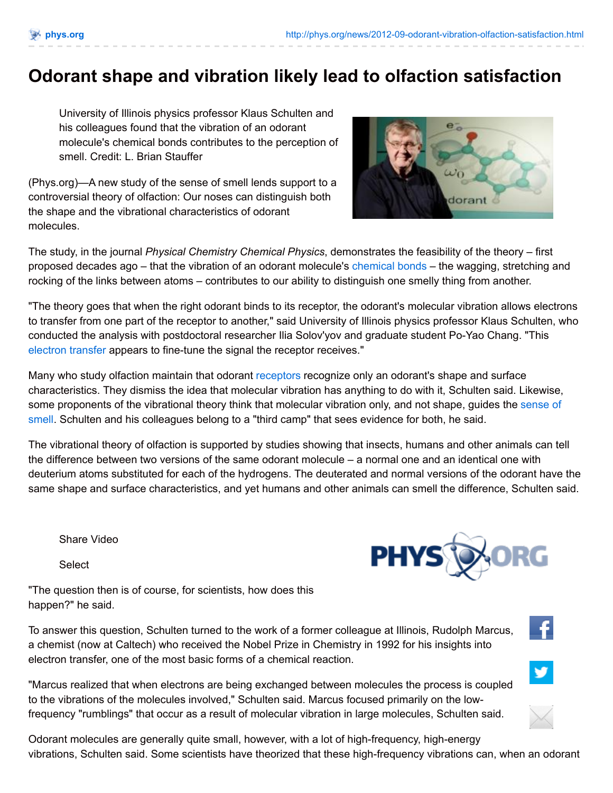## **Odorant shape and vibration likely lead to olfaction satisfaction**

University of Illinois physics professor Klaus Schulten and his colleagues found that the vibration of an odorant molecule's chemical bonds contributes to the perception of smell. Credit: L. Brian Stauffer

(Phys.org)—A new study of the sense of smell lends support to a controversial theory of olfaction: Our noses can distinguish both the shape and the vibrational characteristics of odorant molecules.



The study, in the journal *Physical Chemistry Chemical Physics*, demonstrates the feasibility of the theory – first proposed decades ago – that the vibration of an odorant molecule's [chemical](http://phys.org/tags/chemical+bonds/) bonds – the wagging, stretching and rocking of the links between atoms – contributes to our ability to distinguish one smelly thing from another.

"The theory goes that when the right odorant binds to its receptor, the odorant's molecular vibration allows electrons to transfer from one part of the receptor to another," said University of Illinois physics professor Klaus Schulten, who conducted the analysis with postdoctoral researcher Ilia Solov'yov and graduate student Po-Yao Chang. "This [electron](http://phys.org/tags/electron+transfer/) transfer appears to fine-tune the signal the receptor receives."

Many who study olfaction maintain that odorant [receptors](http://phys.org/tags/receptors/) recognize only an odorant's shape and surface characteristics. They dismiss the idea that molecular vibration has anything to do with it, Schulten said. Likewise, some [proponents](http://phys.org/tags/sense+of+smell/) of the vibrational theory think that molecular vibration only, and not shape, guides the sense of smell. Schulten and his colleagues belong to a "third camp" that sees evidence for both, he said.

The vibrational theory of olfaction is supported by studies showing that insects, humans and other animals can tell the difference between two versions of the same odorant molecule – a normal one and an identical one with deuterium atoms substituted for each of the hydrogens. The deuterated and normal versions of the odorant have the same shape and surface characteristics, and yet humans and other animals can smell the difference, Schulten said.

Share Video

**Select** 

"The question then is of course, for scientists, how does this happen?" he said.

To answer this question, Schulten turned to the work of a former colleague at Illinois, Rudolph Marcus, a chemist (now at Caltech) who received the Nobel Prize in Chemistry in 1992 for his insights into electron transfer, one of the most basic forms of a chemical reaction.

"Marcus realized that when electrons are being exchanged between molecules the process is coupled to the vibrations of the molecules involved," Schulten said. Marcus focused primarily on the lowfrequency "rumblings" that occur as a result of molecular vibration in large molecules, Schulten said.





Æ

Odorant molecules are generally quite small, however, with a lot of high-frequency, high-energy vibrations, Schulten said. Some scientists have theorized that these high-frequency vibrations can, when an odorant